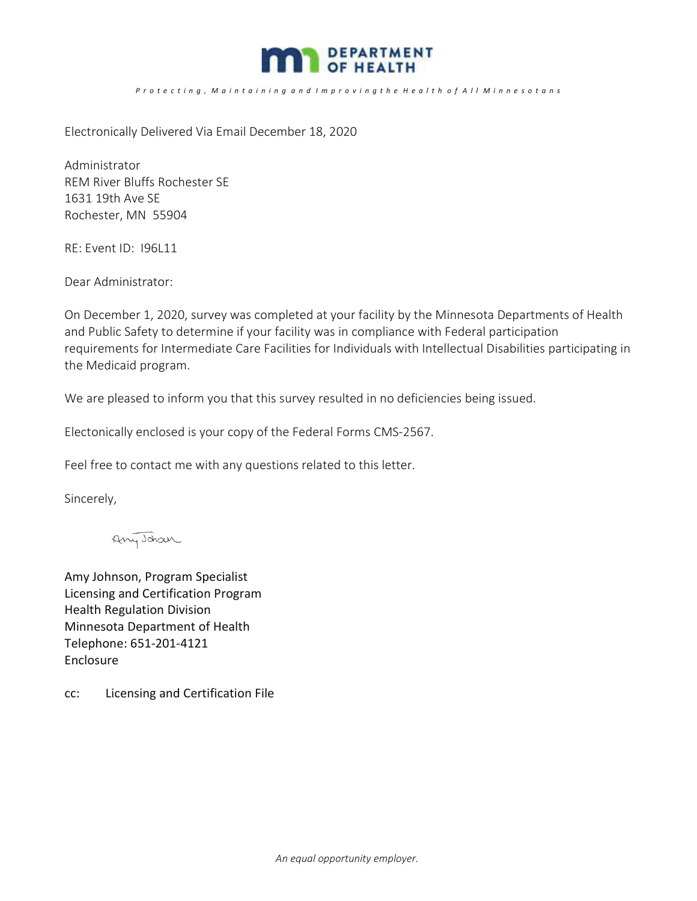

## P r o t e c t i n g , M a i n t a i n i n g a n d I m p r o v i n g t h e H e a l t h o f A l I M i n n e s o t a n s

Electronically Delivered Via Email December 18, 2020

Administrator REM River Bluffs Rochester SE 1631 19th Ave SE Rochester, MN 55904

RE: Event ID: I96L11

Dear Administrator:

On December 1, 2020, survey was completed at your facility by the Minnesota Departments of Health and Public Safety to determine if your facility was in compliance with Federal participation requirements for Intermediate Care Facilities for Individuals with Intellectual Disabilities participating in the Medicaid program.

We are pleased to inform you that this survey resulted in no deficiencies being issued.

Electonically enclosed is your copy of the Federal Forms CMS-2567.

Feel free to contact me with any questions related to this letter.

Sincerely,

Any Johan

Amy Johnson, Program Specialist Licensing and Certification Program Health Regulation Division Minnesota Department of Health Telephone: 651-201-4121 Enclosure

cc: Licensing and Certification File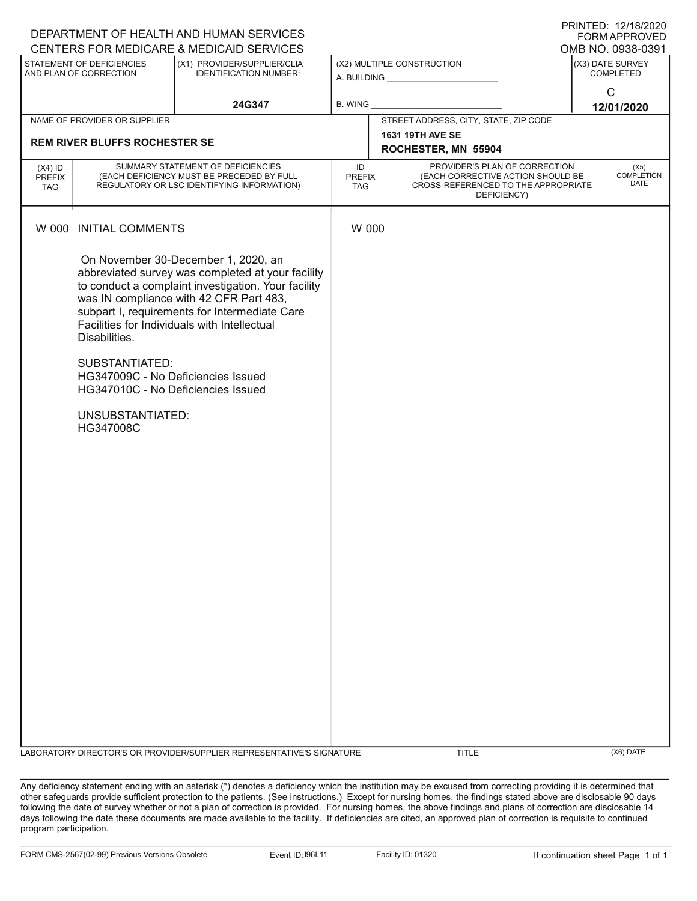| DEPARTMENT OF HEALTH AND HUMAN SERVICES<br>FORM APPROVED |                                                                                                                                                                                                                                                                                                                                                                                                                                             |                                                                       |                                       |                                                                                                                                                  |                                          |  |  |  |
|----------------------------------------------------------|---------------------------------------------------------------------------------------------------------------------------------------------------------------------------------------------------------------------------------------------------------------------------------------------------------------------------------------------------------------------------------------------------------------------------------------------|-----------------------------------------------------------------------|---------------------------------------|--------------------------------------------------------------------------------------------------------------------------------------------------|------------------------------------------|--|--|--|
|                                                          | CENTERS FOR MEDICARE & MEDICAID SERVICES<br>OMB NO. 0938-0391                                                                                                                                                                                                                                                                                                                                                                               |                                                                       |                                       |                                                                                                                                                  |                                          |  |  |  |
| STATEMENT OF DEFICIENCIES<br>AND PLAN OF CORRECTION      |                                                                                                                                                                                                                                                                                                                                                                                                                                             | (X1) PROVIDER/SUPPLIER/CLIA<br><b>IDENTIFICATION NUMBER:</b>          |                                       | (X2) MULTIPLE CONSTRUCTION                                                                                                                       | (X3) DATE SURVEY<br><b>COMPLETED</b>     |  |  |  |
| 24G347                                                   |                                                                                                                                                                                                                                                                                                                                                                                                                                             | B. WING                                                               |                                       | $\mathsf{C}$<br>12/01/2020                                                                                                                       |                                          |  |  |  |
|                                                          | NAME OF PROVIDER OR SUPPLIER                                                                                                                                                                                                                                                                                                                                                                                                                |                                                                       | STREET ADDRESS, CITY, STATE, ZIP CODE |                                                                                                                                                  |                                          |  |  |  |
| <b>REM RIVER BLUFFS ROCHESTER SE</b>                     |                                                                                                                                                                                                                                                                                                                                                                                                                                             |                                                                       |                                       | 1631 19TH AVE SE<br>ROCHESTER, MN 55904                                                                                                          |                                          |  |  |  |
| $(X4)$ ID<br><b>PREFIX</b><br><b>TAG</b>                 | SUMMARY STATEMENT OF DEFICIENCIES<br>(EACH DEFICIENCY MUST BE PRECEDED BY FULL<br>REGULATORY OR LSC IDENTIFYING INFORMATION)                                                                                                                                                                                                                                                                                                                |                                                                       |                                       | PROVIDER'S PLAN OF CORRECTION<br>(EACH CORRECTIVE ACTION SHOULD BE<br><b>PREFIX</b><br>CROSS-REFERENCED TO THE APPROPRIATE<br>TAG<br>DEFICIENCY) | (X5)<br><b>COMPLETION</b><br><b>DATE</b> |  |  |  |
| W 000                                                    | <b>INITIAL COMMENTS</b>                                                                                                                                                                                                                                                                                                                                                                                                                     |                                                                       |                                       | W 000                                                                                                                                            |                                          |  |  |  |
|                                                          | On November 30-December 1, 2020, an<br>abbreviated survey was completed at your facility<br>to conduct a complaint investigation. Your facility<br>was IN compliance with 42 CFR Part 483,<br>subpart I, requirements for Intermediate Care<br>Facilities for Individuals with Intellectual<br>Disabilities.<br>SUBSTANTIATED:<br>HG347009C - No Deficiencies Issued<br>HG347010C - No Deficiencies Issued<br>UNSUBSTANTIATED:<br>HG347008C |                                                                       |                                       |                                                                                                                                                  |                                          |  |  |  |
|                                                          |                                                                                                                                                                                                                                                                                                                                                                                                                                             |                                                                       |                                       |                                                                                                                                                  |                                          |  |  |  |
|                                                          |                                                                                                                                                                                                                                                                                                                                                                                                                                             | LABORATORY DIRECTOR'S OR PROVIDER/SUPPLIER REPRESENTATIVE'S SIGNATURE |                                       | <b>TITLE</b>                                                                                                                                     | (X6) DATE                                |  |  |  |

Any deficiency statement ending with an asterisk (\*) denotes a deficiency which the institution may be excused from correcting providing it is determined that other safeguards provide sufficient protection to the patients. (See instructions.) Except for nursing homes, the findings stated above are disclosable 90 days following the date of survey whether or not a plan of correction is provided. For nursing homes, the above findings and plans of correction are disclosable 14 days following the date these documents are made available to the facility. If deficiencies are cited, an approved plan of correction is requisite to continued program participation.

PRINTED: 12/18/2020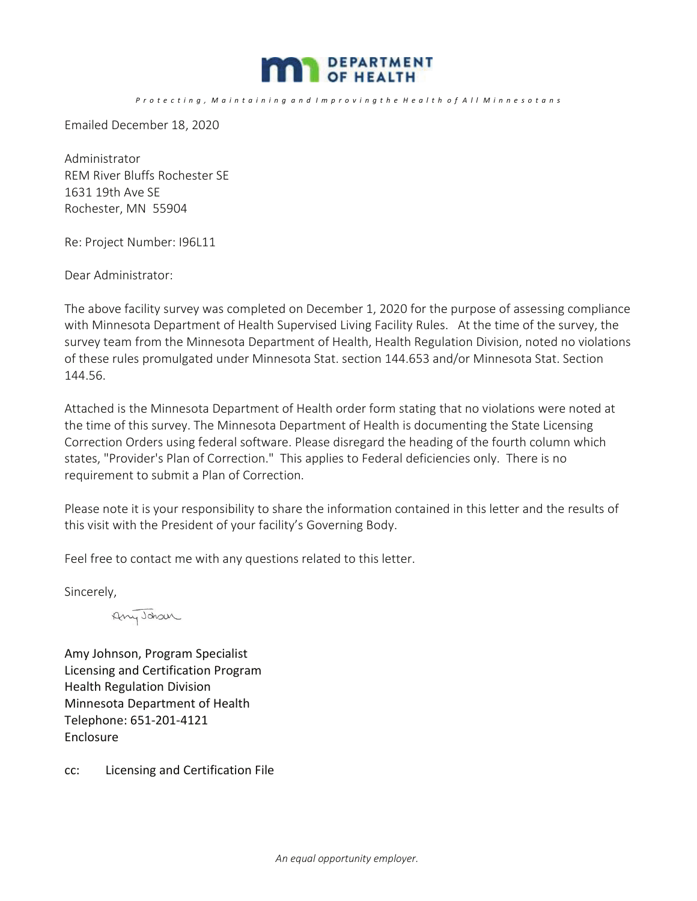

P r o t e c t i n g , M a i n t a i n i n g a n d I m p r o v i n g t h e H e a l t h o f A l I M i n n e s o t a n s

Emailed December 18, 2020

Administrator REM River Bluffs Rochester SE 1631 19th Ave SE Rochester, MN 55904

Re: Project Number: I96L11

Dear Administrator:

The above facility survey was completed on December 1, 2020 for the purpose of assessing compliance with Minnesota Department of Health Supervised Living Facility Rules. At the time of the survey, the survey team from the Minnesota Department of Health, Health Regulation Division, noted no violations of these rules promulgated under Minnesota Stat. section 144.653 and/or Minnesota Stat. Section 144.56.

Attached is the Minnesota Department of Health order form stating that no violations were noted at the time of this survey. The Minnesota Department of Health is documenting the State Licensing Correction Orders using federal software. Please disregard the heading of the fourth column which states, "Provider's Plan of Correction." This applies to Federal deficiencies only. There is no requirement to submit a Plan of Correction.

Please note it is your responsibility to share the information contained in this letter and the results of this visit with the President of your facility's Governing Body.

Feel free to contact me with any questions related to this letter.

Sincerely,

Any Johan

Amy Johnson, Program Specialist Licensing and Certification Program Health Regulation Division Minnesota Department of Health Telephone: 651-201-4121 Enclosure

cc: Licensing and Certification File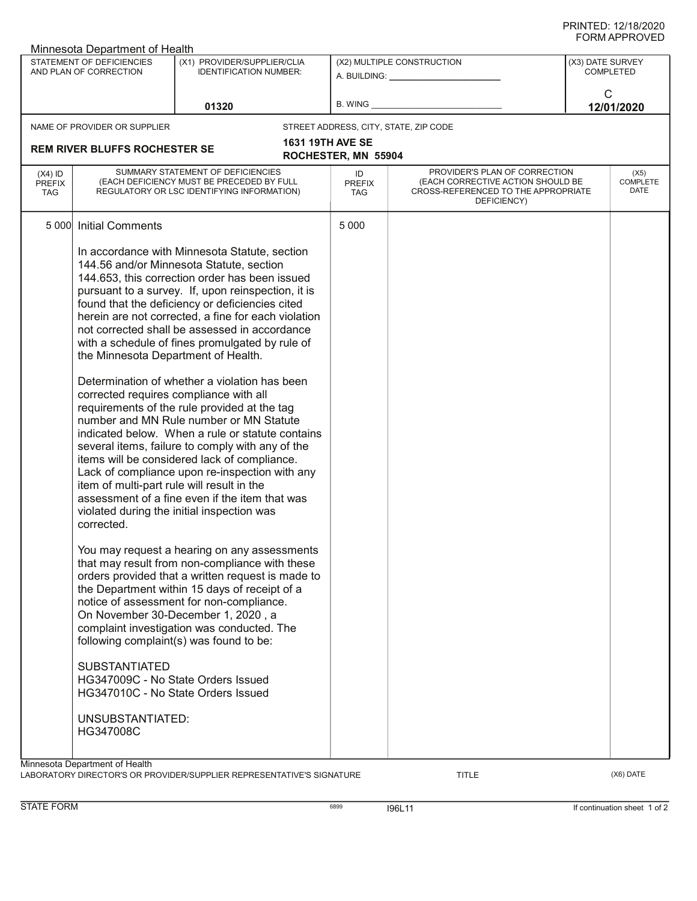| 1111 ALL 111016<br>Minnesota Department of Health   |                                                                                                                              |                                                                                                                                                                                                                                                                                                                                                                                                                                                                                                                                                                                                                                                                                                                                                                                                                                                                                                                                                                                                                                                                                                                                                                                                                                                                                                                                                                                                                                                                     |                                                         |                                                                                                                          |                                      |            |
|-----------------------------------------------------|------------------------------------------------------------------------------------------------------------------------------|---------------------------------------------------------------------------------------------------------------------------------------------------------------------------------------------------------------------------------------------------------------------------------------------------------------------------------------------------------------------------------------------------------------------------------------------------------------------------------------------------------------------------------------------------------------------------------------------------------------------------------------------------------------------------------------------------------------------------------------------------------------------------------------------------------------------------------------------------------------------------------------------------------------------------------------------------------------------------------------------------------------------------------------------------------------------------------------------------------------------------------------------------------------------------------------------------------------------------------------------------------------------------------------------------------------------------------------------------------------------------------------------------------------------------------------------------------------------|---------------------------------------------------------|--------------------------------------------------------------------------------------------------------------------------|--------------------------------------|------------|
| STATEMENT OF DEFICIENCIES<br>AND PLAN OF CORRECTION |                                                                                                                              | (X1) PROVIDER/SUPPLIER/CLIA<br><b>IDENTIFICATION NUMBER:</b>                                                                                                                                                                                                                                                                                                                                                                                                                                                                                                                                                                                                                                                                                                                                                                                                                                                                                                                                                                                                                                                                                                                                                                                                                                                                                                                                                                                                        | (X2) MULTIPLE CONSTRUCTION<br>A. BUILDING: A. BUILDING: |                                                                                                                          | (X3) DATE SURVEY<br><b>COMPLETED</b> |            |
|                                                     |                                                                                                                              | 01320                                                                                                                                                                                                                                                                                                                                                                                                                                                                                                                                                                                                                                                                                                                                                                                                                                                                                                                                                                                                                                                                                                                                                                                                                                                                                                                                                                                                                                                               | B. WING                                                 |                                                                                                                          | $\mathsf{C}$                         | 12/01/2020 |
|                                                     | NAME OF PROVIDER OR SUPPLIER                                                                                                 |                                                                                                                                                                                                                                                                                                                                                                                                                                                                                                                                                                                                                                                                                                                                                                                                                                                                                                                                                                                                                                                                                                                                                                                                                                                                                                                                                                                                                                                                     |                                                         | STREET ADDRESS, CITY, STATE, ZIP CODE                                                                                    |                                      |            |
|                                                     | <b>REM RIVER BLUFFS ROCHESTER SE</b>                                                                                         |                                                                                                                                                                                                                                                                                                                                                                                                                                                                                                                                                                                                                                                                                                                                                                                                                                                                                                                                                                                                                                                                                                                                                                                                                                                                                                                                                                                                                                                                     | <b>1631 19TH AVE SE</b><br>ROCHESTER, MN 55904          |                                                                                                                          |                                      |            |
| $(X4)$ ID<br><b>PREFIX</b><br><b>TAG</b>            | SUMMARY STATEMENT OF DEFICIENCIES<br>(EACH DEFICIENCY MUST BE PRECEDED BY FULL<br>REGULATORY OR LSC IDENTIFYING INFORMATION) |                                                                                                                                                                                                                                                                                                                                                                                                                                                                                                                                                                                                                                                                                                                                                                                                                                                                                                                                                                                                                                                                                                                                                                                                                                                                                                                                                                                                                                                                     |                                                         | PROVIDER'S PLAN OF CORRECTION<br>(EACH CORRECTIVE ACTION SHOULD BE<br>CROSS-REFERENCED TO THE APPROPRIATE<br>DEFICIENCY) | (X5)<br><b>COMPLETE</b><br>DATE      |            |
| 5 000                                               | <b>Initial Comments</b>                                                                                                      |                                                                                                                                                                                                                                                                                                                                                                                                                                                                                                                                                                                                                                                                                                                                                                                                                                                                                                                                                                                                                                                                                                                                                                                                                                                                                                                                                                                                                                                                     | 5 0 0 0                                                 |                                                                                                                          |                                      |            |
| Minnesota Department of Health                      | corrected.<br><b>SUBSTANTIATED</b><br>UNSUBSTANTIATED:<br>HG347008C                                                          | In accordance with Minnesota Statute, section<br>144.56 and/or Minnesota Statute, section<br>144.653, this correction order has been issued<br>pursuant to a survey. If, upon reinspection, it is<br>found that the deficiency or deficiencies cited<br>herein are not corrected, a fine for each violation<br>not corrected shall be assessed in accordance<br>with a schedule of fines promulgated by rule of<br>the Minnesota Department of Health.<br>Determination of whether a violation has been<br>corrected requires compliance with all<br>requirements of the rule provided at the tag<br>number and MN Rule number or MN Statute<br>indicated below. When a rule or statute contains<br>several items, failure to comply with any of the<br>items will be considered lack of compliance.<br>Lack of compliance upon re-inspection with any<br>item of multi-part rule will result in the<br>assessment of a fine even if the item that was<br>violated during the initial inspection was<br>You may request a hearing on any assessments<br>that may result from non-compliance with these<br>orders provided that a written request is made to<br>the Department within 15 days of receipt of a<br>notice of assessment for non-compliance.<br>On November 30-December 1, 2020, a<br>complaint investigation was conducted. The<br>following complaint(s) was found to be:<br>HG347009C - No State Orders Issued<br>HG347010C - No State Orders Issued |                                                         |                                                                                                                          |                                      |            |

LABORATORY DIRECTOR'S OR PROVIDER/SUPPLIER REPRESENTATIVE'S SIGNATURE TITLE TITLE THE CONSERVATION OF THE CONST